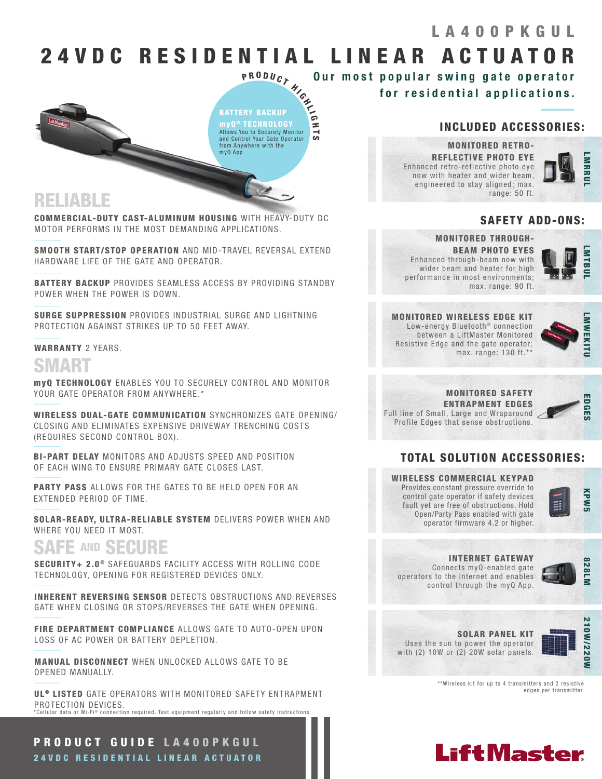### LA400PKGUL

# 24 V D C R E S I D E N T I A L L I N E A R A C T U A T O R

Our most popular swing gate operator for residential applications.

**P R O D U C T H I G H I G H I G H I G H L I G H L I G H L I G H L I G H L I G H L I G H L I G H L I G H L I G H L I G H L I G H L I G H L I G H L I G H L I G H L I G H L I G H L I G H L I G H L I G H L I G H L I G H L I** BATTERY BACKUP myQ ® TECHNOLOGY Allows You to Securely Monitor and Control Your Gate Operator from Anywhere with the

# RELIABLE

COMMERCIAL-DUTY CAST-ALUMINUM HOUSING WITH HEAVY-DUTY DC MOTOR PERFORMS IN THE MOST DEMANDING APPLICATIONS.

myQ App

SMOOTH START/STOP OPERATION AND MID-TRAVEL REVERSAL EXTEND HARDWARE LIFE OF THE GATE AND OPERATOR.

BATTERY BACKUP PROVIDES SEAMLESS ACCESS BY PROVIDING STANDBY POWER WHEN THE POWER IS DOWN.

SURGE SUPPRESSION PROVIDES INDUSTRIAL SURGE AND LIGHTNING PROTECTION AGAINST STRIKES UP TO 50 FEET AWAY.

### WARRANTY 2 YEARS.

## SMART

myQ TECHNOLOGY ENABLES YOU TO SECURELY CONTROL AND MONITOR YOUR GATE OPERATOR FROM ANYWHERE.\*

WIRELESS DUAL-GATE COMMUNICATION SYNCHRONIZES GATE OPENING/ CLOSING AND ELIMINATES EXPENSIVE DRIVEWAY TRENCHING COSTS (REQUIRES SECOND CONTROL BOX).

BI-PART DELAY MONITORS AND ADJUSTS SPEED AND POSITION OF EACH WING TO ENSURE PRIMARY GATE CLOSES LAST.

PARTY PASS ALLOWS FOR THE GATES TO BE HELD OPEN FOR AN EXTENDED PERIOD OF TIME.

SOLAR-READY, ULTRA-RELIABLE SYSTEM DELIVERS POWER WHEN AND WHERE YOU NEED IT MOST.

# SAFE AND SECURE

SECURITY+ 2.0<sup>®</sup> SAFEGUARDS FACILITY ACCESS WITH ROLLING CODE TECHNOLOGY, OPENING FOR REGISTERED DEVICES ONLY.

INHERENT REVERSING SENSOR DETECTS OBSTRUCTIONS AND REVERSES GATE WHEN CLOSING OR STOPS/REVERSES THE GATE WHEN OPENING.

FIRE DEPARTMENT COMPLIANCE ALLOWS GATE TO AUTO-OPEN UPON LOSS OF AC POWER OR BATTERY DEPLETION.

MANUAL DISCONNECT WHEN UNLOCKED ALLOWS GATE TO BE OPENED MANUALLY.

UL<sup>®</sup> LISTED GATE OPERATORS WITH MONITORED SAFETY ENTRAPMENT PROTECTION DEVICES. \*Cellular data or Wi-Fi® connection required. Test equipment requiarly and follow safety instructions.

PRODUCT GUIDE LA400PKGUL 24VDC RESIDENTIAL LINEAR ACTUATOR

### INCLUDED ACCESSORIES:

MONITORED RETRO-REFLECTIVE PHOTO EYE Enhanced retro-reflective photo eye now with heater and wider beam, engineered to stay aligned; max. range: 50 ft.



### SAFETY ADD-ONS:

### MONITORED THROUGH-BEAM PHOTO EYES



Enhanced through-beam now with wider beam and heater for high performance in most environments; max. range: 90 ft.





MONITORED SAFETY ENTRAPMENT EDGES Full line of Small, Large and Wraparound Profile Edges that sense obstructions.



### TOTAL SOLUTION ACCESSORIES:

WIRELESS COMMERCIAL KEYPAD Provides constant pressure override to control gate operator if safety devices fault yet are free of obstructions. Hold Open/Party Pass enabled with gate operator firmware 4.2 or higher.

operators to the Internet and enables control through the myQ App.



#### INTERNET GATEWAY Connects myQ-enabled gate

828LM

SOLAR PANEL KIT Uses the sun to power the operator with (2) 10W or (2) 20W solar panels.



\*\*Wireless kit for up to 4 transmitters and 2 resistive edges per transmitter.